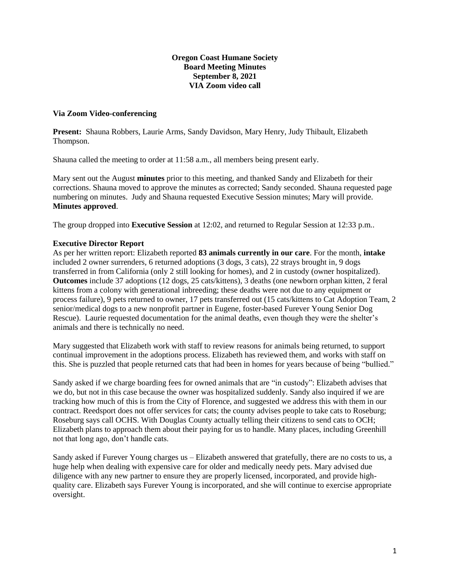## **Oregon Coast Humane Society Board Meeting Minutes September 8, 2021 VIA Zoom video call**

## **Via Zoom Video-conferencing**

**Present:** Shauna Robbers, Laurie Arms, Sandy Davidson, Mary Henry, Judy Thibault, Elizabeth Thompson.

Shauna called the meeting to order at 11:58 a.m., all members being present early.

Mary sent out the August **minutes** prior to this meeting, and thanked Sandy and Elizabeth for their corrections. Shauna moved to approve the minutes as corrected; Sandy seconded. Shauna requested page numbering on minutes. Judy and Shauna requested Executive Session minutes; Mary will provide. **Minutes approved**.

The group dropped into **Executive Session** at 12:02, and returned to Regular Session at 12:33 p.m..

## **Executive Director Report**

As per her written report: Elizabeth reported **83 animals currently in our care**. For the month, **intake** included 2 owner surrenders, 6 returned adoptions (3 dogs, 3 cats), 22 strays brought in, 9 dogs transferred in from California (only 2 still looking for homes), and 2 in custody (owner hospitalized). **Outcomes** include 37 adoptions (12 dogs, 25 cats/kittens), 3 deaths (one newborn orphan kitten, 2 feral kittens from a colony with generational inbreeding; these deaths were not due to any equipment or process failure), 9 pets returned to owner, 17 pets transferred out (15 cats/kittens to Cat Adoption Team, 2 senior/medical dogs to a new nonprofit partner in Eugene, foster-based Furever Young Senior Dog Rescue). Laurie requested documentation for the animal deaths, even though they were the shelter's animals and there is technically no need.

Mary suggested that Elizabeth work with staff to review reasons for animals being returned, to support continual improvement in the adoptions process. Elizabeth has reviewed them, and works with staff on this. She is puzzled that people returned cats that had been in homes for years because of being "bullied."

Sandy asked if we charge boarding fees for owned animals that are "in custody": Elizabeth advises that we do, but not in this case because the owner was hospitalized suddenly. Sandy also inquired if we are tracking how much of this is from the City of Florence, and suggested we address this with them in our contract. Reedsport does not offer services for cats; the county advises people to take cats to Roseburg; Roseburg says call OCHS. With Douglas County actually telling their citizens to send cats to OCH; Elizabeth plans to approach them about their paying for us to handle. Many places, including Greenhill not that long ago, don't handle cats.

Sandy asked if Furever Young charges us – Elizabeth answered that gratefully, there are no costs to us, a huge help when dealing with expensive care for older and medically needy pets. Mary advised due diligence with any new partner to ensure they are properly licensed, incorporated, and provide highquality care. Elizabeth says Furever Young is incorporated, and she will continue to exercise appropriate oversight.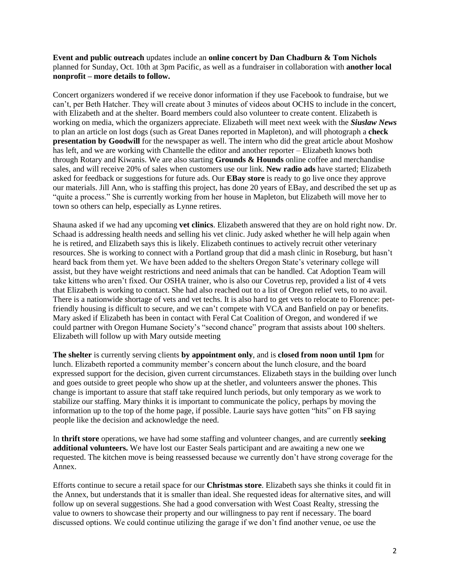**Event and public outreach** updates include an **online concert by Dan Chadburn & Tom Nichols** planned for Sunday, Oct. 10th at 3pm Pacific, as well as a fundraiser in collaboration with **another local nonprofit – more details to follow.**

Concert organizers wondered if we receive donor information if they use Facebook to fundraise, but we can't, per Beth Hatcher. They will create about 3 minutes of videos about OCHS to include in the concert, with Elizabeth and at the shelter. Board members could also volunteer to create content. Elizabeth is working on media, which the organizers appreciate. Elizabeth will meet next week with the *Siuslaw News* to plan an article on lost dogs (such as Great Danes reported in Mapleton), and will photograph a **check presentation by Goodwill** for the newspaper as well. The intern who did the great article about Moshow has left, and we are working with Chantelle the editor and another reporter – Elizabeth knows both through Rotary and Kiwanis. We are also starting **Grounds & Hounds** online coffee and merchandise sales, and will receive 20% of sales when customers use our link. **New radio ads** have started; Elizabeth asked for feedback or suggestions for future ads. Our **EBay store** is ready to go live once they approve our materials. Jill Ann, who is staffing this project, has done 20 years of EBay, and described the set up as "quite a process." She is currently working from her house in Mapleton, but Elizabeth will move her to town so others can help, especially as Lynne retires.

Shauna asked if we had any upcoming **vet clinics**. Elizabeth answered that they are on hold right now. Dr. Schaad is addressing health needs and selling his vet clinic. Judy asked whether he will help again when he is retired, and Elizabeth says this is likely. Elizabeth continues to actively recruit other veterinary resources. She is working to connect with a Portland group that did a mash clinic in Roseburg, but hasn't heard back from them yet. We have been added to the shelters Oregon State's veterinary college will assist, but they have weight restrictions and need animals that can be handled. Cat Adoption Team will take kittens who aren't fixed. Our OSHA trainer, who is also our Covetrus rep, provided a list of 4 vets that Elizabeth is working to contact. She had also reached out to a list of Oregon relief vets, to no avail. There is a nationwide shortage of vets and vet techs. It is also hard to get vets to relocate to Florence: petfriendly housing is difficult to secure, and we can't compete with VCA and Banfield on pay or benefits. Mary asked if Elizabeth has been in contact with Feral Cat Coalition of Oregon, and wondered if we could partner with Oregon Humane Society's "second chance" program that assists about 100 shelters. Elizabeth will follow up with Mary outside meeting

**The shelter** is currently serving clients **by appointment only**, and is **closed from noon until 1pm** for lunch. Elizabeth reported a community member's concern about the lunch closure, and the board expressed support for the decision, given current circumstances. Elizabeth stays in the building over lunch and goes outside to greet people who show up at the shetler, and volunteers answer the phones. This change is important to assure that staff take required lunch periods, but only temporary as we work to stabilize our staffing. Mary thinks it is important to communicate the policy, perhaps by moving the information up to the top of the home page, if possible. Laurie says have gotten "hits" on FB saying people like the decision and acknowledge the need.

In **thrift store** operations, we have had some staffing and volunteer changes, and are currently **seeking additional volunteers.** We have lost our Easter Seals participant and are awaiting a new one we requested. The kitchen move is being reassessed because we currently don't have strong coverage for the Annex.

Efforts continue to secure a retail space for our **Christmas store**. Elizabeth says she thinks it could fit in the Annex, but understands that it is smaller than ideal. She requested ideas for alternative sites, and will follow up on several suggestions. She had a good conversation with West Coast Realty, stressing the value to owners to showcase their property and our willingness to pay rent if necessary. The board discussed options. We could continue utilizing the garage if we don't find another venue, oe use the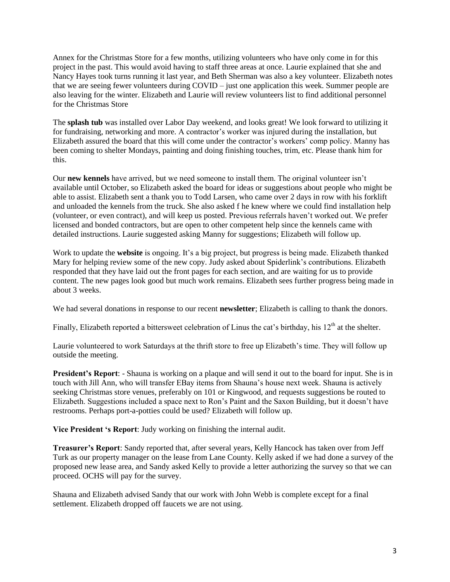Annex for the Christmas Store for a few months, utilizing volunteers who have only come in for this project in the past. This would avoid having to staff three areas at once. Laurie explained that she and Nancy Hayes took turns running it last year, and Beth Sherman was also a key volunteer. Elizabeth notes that we are seeing fewer volunteers during COVID – just one application this week. Summer people are also leaving for the winter. Elizabeth and Laurie will review volunteers list to find additional personnel for the Christmas Store

The **splash tub** was installed over Labor Day weekend, and looks great! We look forward to utilizing it for fundraising, networking and more. A contractor's worker was injured during the installation, but Elizabeth assured the board that this will come under the contractor's workers' comp policy. Manny has been coming to shelter Mondays, painting and doing finishing touches, trim, etc. Please thank him for this.

Our **new kennels** have arrived, but we need someone to install them. The original volunteer isn't available until October, so Elizabeth asked the board for ideas or suggestions about people who might be able to assist. Elizabeth sent a thank you to Todd Larsen, who came over 2 days in row with his forklift and unloaded the kennels from the truck. She also asked f he knew where we could find installation help (volunteer, or even contract), and will keep us posted. Previous referrals haven't worked out. We prefer licensed and bonded contractors, but are open to other competent help since the kennels came with detailed instructions. Laurie suggested asking Manny for suggestions; Elizabeth will follow up.

Work to update the **website** is ongoing. It's a big project, but progress is being made. Elizabeth thanked Mary for helping review some of the new copy. Judy asked about Spiderlink's contributions. Elizabeth responded that they have laid out the front pages for each section, and are waiting for us to provide content. The new pages look good but much work remains. Elizabeth sees further progress being made in about 3 weeks.

We had several donations in response to our recent **newsletter**; Elizabeth is calling to thank the donors.

Finally, Elizabeth reported a bittersweet celebration of Linus the cat's birthday, his  $12<sup>th</sup>$  at the shelter.

Laurie volunteered to work Saturdays at the thrift store to free up Elizabeth's time. They will follow up outside the meeting.

**President's Report**: - Shauna is working on a plaque and will send it out to the board for input. She is in touch with Jill Ann, who will transfer EBay items from Shauna's house next week. Shauna is actively seeking Christmas store venues, preferably on 101 or Kingwood, and requests suggestions be routed to Elizabeth. Suggestions included a space next to Ron's Paint and the Saxon Building, but it doesn't have restrooms. Perhaps port-a-potties could be used? Elizabeth will follow up.

**Vice President 's Report**: Judy working on finishing the internal audit.

**Treasurer's Report**: Sandy reported that, after several years, Kelly Hancock has taken over from Jeff Turk as our property manager on the lease from Lane County. Kelly asked if we had done a survey of the proposed new lease area, and Sandy asked Kelly to provide a letter authorizing the survey so that we can proceed. OCHS will pay for the survey.

Shauna and Elizabeth advised Sandy that our work with John Webb is complete except for a final settlement. Elizabeth dropped off faucets we are not using.